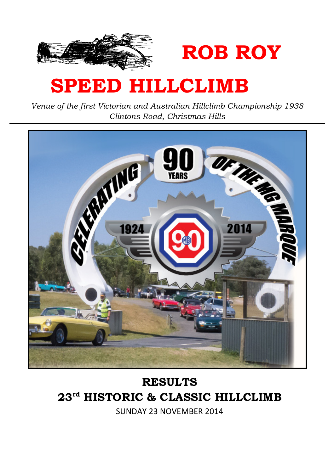

# SPEED HILLCLIMB

Venue of the first Victorian and Australian Hillclimb Championship 1938 Clintons Road, Christmas Hills

ROB ROY



# RESULTS 23rd HISTORIC & CLASSIC HILLCLIMB

SUNDAY 23 NOVEMBER 2014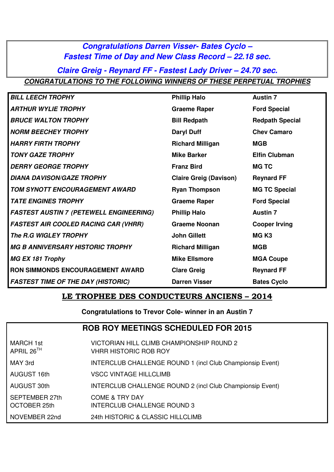#### **Congratulations Darren Visser- Bates Cyclo – Fastest Time of Day and New Class Record – 22.18 sec.**

**Claire Greig - Reynard FF - Fastest Lady Driver – 24.70 sec. CONGRATULATIONS TO THE FOLLOWING WINNERS OF THESE PERPETUAL TROPHIES** 

| <b>BILL LEECH TROPHY</b>                       | <b>Phillip Halo</b>           | <b>Austin 7</b>        |
|------------------------------------------------|-------------------------------|------------------------|
| <b>ARTHUR WYLIE TROPHY</b>                     | <b>Graeme Raper</b>           | <b>Ford Special</b>    |
| <b>BRUCE WALTON TROPHY</b>                     | <b>Bill Redpath</b>           | <b>Redpath Special</b> |
| <b>NORM BEECHEY TROPHY</b>                     | <b>Daryl Duff</b>             | <b>Chev Camaro</b>     |
| <b>HARRY FIRTH TROPHY</b>                      | <b>Richard Milligan</b>       | <b>MGB</b>             |
| <b>TONY GAZE TROPHY</b>                        | <b>Mike Barker</b>            | <b>Elfin Clubman</b>   |
| <b>DERRY GEORGE TROPHY</b>                     | <b>Franz Bird</b>             | <b>MG TC</b>           |
| <b>DIANA DAVISON/GAZE TROPHY</b>               | <b>Claire Greig (Davison)</b> | <b>Reynard FF</b>      |
| TOM SYNOTT ENCOURAGEMENT AWARD                 | <b>Ryan Thompson</b>          | <b>MG TC Special</b>   |
| <b>TATE ENGINES TROPHY</b>                     | <b>Graeme Raper</b>           | <b>Ford Special</b>    |
| <b>FASTEST AUSTIN 7 (PETEWELL ENGINEERING)</b> | <b>Phillip Halo</b>           | <b>Austin 7</b>        |
| <b>FASTEST AIR COOLED RACING CAR (VHRR)</b>    | <b>Graeme Noonan</b>          | <b>Cooper Irving</b>   |
| The R.G WIGLEY TROPHY                          | <b>John Gillett</b>           | MG <sub>K3</sub>       |
| <b>MG B ANNIVERSARY HISTORIC TROPHY</b>        | <b>Richard Milligan</b>       | <b>MGB</b>             |
| <b>MG EX 181 Trophy</b>                        | <b>Mike Ellsmore</b>          | <b>MGA Coupe</b>       |
| <b>RON SIMMONDS ENCOURAGEMENT AWARD</b>        | <b>Clare Greig</b>            | <b>Reynard FF</b>      |
| <b>FASTEST TIME OF THE DAY (HISTORIC)</b>      | <b>Darren Visser</b>          | <b>Bates Cyclo</b>     |

#### LE TROPHEE DES CONDUCTEURS ANCIENS – 2014

**Congratulations to Trevor Cole- winner in an Austin 7** 

| <b>ROB ROY MEETINGS SCHEDULED FOR 2015</b> |                                                                           |  |  |  |  |  |  |
|--------------------------------------------|---------------------------------------------------------------------------|--|--|--|--|--|--|
| MARCH 1st<br>APRIL 26 $^{\rm TH}$          | VICTORIAN HILL CLIMB CHAMPIONSHIP ROUND 2<br><b>VHRR HISTORIC ROB ROY</b> |  |  |  |  |  |  |
| MAY 3rd                                    | INTERCLUB CHALLENGE ROUND 1 (incl Club Championsip Event)                 |  |  |  |  |  |  |
| AUGUST 16th                                | <b>VSCC VINTAGE HILLCLIMB</b>                                             |  |  |  |  |  |  |
| AUGUST 30th                                | INTERCLUB CHALLENGE ROUND 2 (incl Club Championsip Event)                 |  |  |  |  |  |  |
| SEPTEMBER 27th<br>OCTOBER 25th             | COME & TRY DAY<br><b>INTERCLUB CHALLENGE ROUND 3</b>                      |  |  |  |  |  |  |
| NOVEMBER 22nd                              | 24th HISTORIC & CLASSIC HILLCLIMB                                         |  |  |  |  |  |  |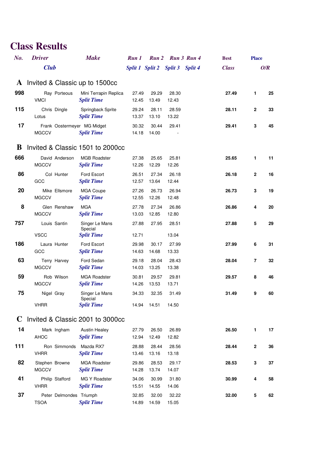| No.          | <b>Driver</b>                  |                         | <b>Make</b>                                      | Run 1          |                                 | Run 2 Run 3 Run 4 | <b>Best</b>  | <b>Place</b> |     |
|--------------|--------------------------------|-------------------------|--------------------------------------------------|----------------|---------------------------------|-------------------|--------------|--------------|-----|
|              | <b>Club</b>                    |                         |                                                  |                | Split 1 Split 2 Split 3 Split 4 |                   | <b>Class</b> |              | O/R |
| $\mathbf{A}$ |                                |                         | Invited & Classic up to 1500cc                   |                |                                 |                   |              |              |     |
| 998          | <b>VMCI</b>                    | Ray Porteous            | Mini Terrapin Replica<br><b>Split Time</b>       | 27.49<br>12.45 | 29.29<br>13.49                  | 28.30<br>12.43    | 27.49        | $\mathbf{1}$ | 25  |
| 115          | Chris Dingle<br>Lotus          |                         | Springback Sprite<br><b>Split Time</b>           | 29.24<br>13.37 | 28.11<br>13.10                  | 28.59<br>13.22    | 28.11        | $\mathbf{2}$ | 33  |
| 17           | <b>MGCCV</b>                   |                         | Frank Oostermeyer MG Midget<br><b>Split Time</b> | 30.32<br>14.18 | 30.44<br>14.00                  | 29.41             | 29.41        | 3            | 45  |
| В            |                                |                         | Invited & Classic 1501 to 2000cc                 |                |                                 |                   |              |              |     |
| 666          | <b>MGCCV</b>                   | David Anderson          | <b>MGB Roadster</b><br><b>Split Time</b>         | 27.38<br>12.26 | 25.65<br>12.29                  | 25.81<br>12.26    | 25.65        | 1            | 11  |
| 86           | GCC                            | Col Hunter              | Ford Escort<br><b>Split Time</b>                 | 26.51<br>12.57 | 27.34<br>13.64                  | 26.18<br>12.44    | 26.18        | $\mathbf{2}$ | 16  |
| 20           | <b>MGCCV</b>                   | Mike Ellsmore           | <b>MGA Coupe</b><br><b>Split Time</b>            | 27.26<br>12.55 | 26.73<br>12.26                  | 26.94<br>12.48    | 26.73        | 3            | 19  |
| 8            | <b>MGCCV</b>                   | Glen Renshaw            | <b>MGA</b><br><b>Split Time</b>                  | 27.78<br>13.03 | 27.34<br>12.85                  | 26.86<br>12.80    | 26.86        | 4            | 20  |
| 757          | Louis Santin<br><b>VSCC</b>    |                         | Singer Le Mans<br>Special<br><b>Split Time</b>   | 27.88<br>12.71 | 27.95                           | 28.51<br>13.04    | 27.88        | 5            | 29  |
| 186          | Laura Hunter<br>GCC            |                         | Ford Escort<br><b>Split Time</b>                 | 29.98<br>14.63 | 30.17<br>14.68                  | 27.99<br>13.33    | 27.99        | 6            | 31  |
| 63           | <b>MGCCV</b>                   | Terry Harvey            | Ford Sedan<br><b>Split Time</b>                  | 29.18<br>14.03 | 28.04<br>13.25                  | 28.43<br>13.38    | 28.04        | 7            | 32  |
| 59           | <b>MGCCV</b>                   | Rob Wilson              | <b>MGA Roadster</b><br><b>Split Time</b>         | 30.81<br>14.26 | 29.57<br>13.53                  | 29.81<br>13.71    | 29.57        | 8            | 46  |
| 75           | Nigel Gray<br><b>VHRR</b>      |                         | Singer Le Mans<br>Special<br><b>Split Time</b>   | 34.33<br>14.94 | 32.35<br>14.51                  | 31.49<br>14.50    | 31.49        | 9            | 60  |
|              |                                |                         |                                                  |                |                                 |                   |              |              |     |
|              |                                |                         | C Invited & Classic 2001 to 3000cc               |                |                                 |                   |              |              |     |
| 14           | AHOC                           | Mark Ingham             | <b>Austin Healey</b><br><b>Split Time</b>        | 27.79<br>12.94 | 26.50<br>12.49                  | 26.89<br>12.82    | 26.50        | $\mathbf{1}$ | 17  |
| 111          | <b>VHRR</b>                    |                         | Ron Simmonds Mazda RX7<br><b>Split Time</b>      | 28.88<br>13.46 | 28.44<br>13.16                  | 28.56<br>13.18    | 28.44        | $\mathbf{2}$ | 36  |
| 82           | Stephen Browne<br><b>MGCCV</b> |                         | <b>MGA Roadster</b><br><b>Split Time</b>         | 29.86<br>14.28 | 28.53<br>13.74                  | 29.17<br>14.07    | 28.53        | 3            | 37  |
| 41           | <b>VHRR</b>                    | Philip Stafford         | MG Y Roadster<br><b>Split Time</b>               | 34.06<br>15.51 | 30.99<br>14.55                  | 31.80<br>14.06    | 30.99        | 4            | 58  |
| 37           | <b>TSOA</b>                    | Peter Delmondes Triumph | <b>Split Time</b>                                | 32.85<br>14.89 | 32.00<br>14.59                  | 32.22<br>15.05    | 32.00        | 5            | 62  |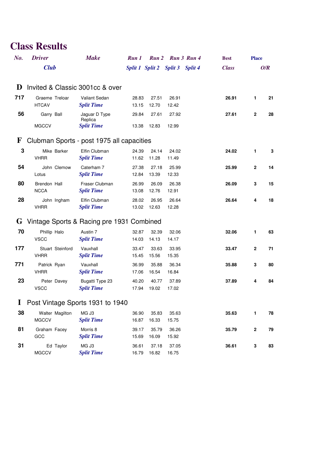| No.          | <b>Driver</b>                   | <b>Make</b>                               | Run 1          |                | Run 2 Run 3 Run 4       |                | <b>Best</b>  | <b>Place</b> |     |
|--------------|---------------------------------|-------------------------------------------|----------------|----------------|-------------------------|----------------|--------------|--------------|-----|
|              | <b>Club</b>                     |                                           |                |                | Split 1 Split 2 Split 3 | <b>Split 4</b> | <b>Class</b> |              | O/R |
| D            |                                 | Invited & Classic 3001cc & over           |                |                |                         |                |              |              |     |
| 717          | Graeme Treloar<br><b>HTCAV</b>  | Valiant Sedan<br><b>Split Time</b>        | 28.83<br>13.15 | 27.51<br>12.70 | 26.91<br>12.42          |                | 26.91        | 1.           | 21  |
| 56           | Garry Ball                      | Jaguar D Type<br>Replica                  | 29.84          | 27.61          | 27.92                   |                | 27.61        | 2            | 28  |
|              | <b>MGCCV</b>                    | <b>Split Time</b>                         | 13.38          | 12.83          | 12.99                   |                |              |              |     |
| $\mathbf{F}$ |                                 | Clubman Sports - post 1975 all capacities |                |                |                         |                |              |              |     |
| $\mathbf 3$  | Mike Barker<br><b>VHRR</b>      | Elfin Clubman<br><b>Split Time</b>        | 24.39<br>11.62 | 24.14<br>11.28 | 24.02<br>11.49          |                | 24.02        | 1            | 3   |
| 54           | John Clemow<br>Lotus            | Caterham 7<br><b>Split Time</b>           | 27.38<br>12.84 | 27.18<br>13.39 | 25.99<br>12.33          |                | 25.99        | 2            | 14  |
| 80           | Brendon Hall<br><b>NCCA</b>     | Fraser Clubman<br><b>Split Time</b>       | 26.99<br>13.08 | 26.09<br>12.76 | 26.38<br>12.91          |                | 26.09        | 3            | 15  |
| 28           | John Ingham<br><b>VHRR</b>      | Elfin Clubman<br><b>Split Time</b>        | 28.02<br>13.02 | 26.95<br>12.63 | 26.64<br>12.28          |                | 26.64        | 4            | 18  |
| G            |                                 | Vintage Sports & Racing pre 1931 Combined |                |                |                         |                |              |              |     |
| 70           | Phillip Halo<br><b>VSCC</b>     | Austin 7<br><b>Split Time</b>             | 32.87<br>14.03 | 32.39<br>14.13 | 32.06<br>14.17          |                | 32.06        | 1            | 63  |
| 177          | Stuart Steinford<br><b>VHRR</b> | Vauxhall<br><b>Split Time</b>             | 33.47<br>15.45 | 33.63<br>15.56 | 33.95<br>15.35          |                | 33.47        | $\mathbf{2}$ | 71  |
| 771          | Patrick Ryan<br><b>VHRR</b>     | Vauxhall<br><b>Split Time</b>             | 36.99<br>17.06 | 35.88<br>16.54 | 36.34<br>16.84          |                | 35.88        | 3            | 80  |
| 23           | Peter Davey<br><b>VSCC</b>      | Bugatti Type 23<br><b>Split Time</b>      | 40.20<br>17.94 | 40.77<br>19.02 | 37.89<br>17.02          |                | 37.89        | 4            | 84  |
|              |                                 | Post Vintage Sports 1931 to 1940          |                |                |                         |                |              |              |     |
| 38           | Walter Magilton<br><b>MGCCV</b> | MG J3<br><b>Split Time</b>                | 36.90<br>16.87 | 35.83<br>16.33 | 35.63<br>15.75          |                | 35.63        | 1            | 78  |
| 81           | Graham Facey<br>GCC             | Morris 8<br><b>Split Time</b>             | 39.17<br>15.69 | 35.79<br>16.09 | 36.26<br>15.92          |                | 35.79        | $\mathbf 2$  | 79  |
| 31           | Ed Taylor<br><b>MGCCV</b>       | MG J3<br><b>Split Time</b>                | 36.61<br>16.79 | 37.18<br>16.82 | 37.05<br>16.75          |                | 36.61        | 3            | 83  |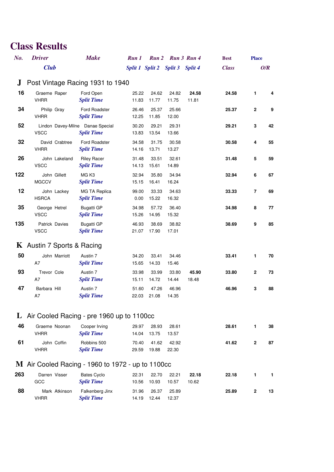| No.     | <b>Driver</b>                                     | <b>Make</b>                                           | Run 1          | Run 2                           |                | Run 3 Run 4    | <b>Best</b>  | <b>Place</b>   |     |
|---------|---------------------------------------------------|-------------------------------------------------------|----------------|---------------------------------|----------------|----------------|--------------|----------------|-----|
|         | <b>Club</b>                                       |                                                       |                | Split 1 Split 2 Split 3 Split 4 |                |                | <b>Class</b> |                | O/R |
| $\bf J$ | Post Vintage Racing 1931 to 1940                  |                                                       |                |                                 |                |                |              |                |     |
| 16      | Graeme Raper<br><b>VHRR</b>                       | Ford Open<br><b>Split Time</b>                        | 25.22<br>11.83 | 24.62<br>11.77                  | 24.82<br>11.75 | 24.58<br>11.81 | 24.58        | $\mathbf{1}$   | 4   |
| 34      | Philip Gray<br><b>VHRR</b>                        | Ford Roadster<br><b>Split Time</b>                    | 26.46<br>12.25 | 25.37<br>11.85                  | 25.66<br>12.00 |                | 25.37        | 2              | 9   |
| 52      | <b>VSCC</b>                                       | Lindon Davey-Milne Danae Special<br><b>Split Time</b> | 30.20<br>13.83 | 29.21<br>13.54                  | 29.31<br>13.66 |                | 29.21        | 3              | 42  |
| 32      | David Crabtree<br><b>VHRR</b>                     | Ford Roadster<br><b>Split Time</b>                    | 34.58<br>14.16 | 31.75<br>13.71                  | 30.58<br>13.27 |                | 30.58        | 4              | 55  |
| 26      | John Lakeland<br><b>VSCC</b>                      | <b>Riley Racer</b><br><b>Split Time</b>               | 31.48<br>14.13 | 33.51<br>15.61                  | 32.61<br>14.89 |                | 31.48        | 5              | 59  |
| 122     | John Gillett<br><b>MGCCV</b>                      | MG K3<br><b>Split Time</b>                            | 32.94<br>15.15 | 35.80<br>16.41                  | 34.94<br>16.24 |                | 32.94        | 6              | 67  |
| 12      | John Lackey<br><b>HSRCA</b>                       | MG TA Replica<br><b>Split Time</b>                    | 99.00<br>0.00  | 33.33<br>15.22                  | 34.63<br>16.32 |                | 33.33        | $\overline{7}$ | 69  |
| 35      | George Hetrel<br><b>VSCC</b>                      | <b>Bugatti GP</b><br><b>Split Time</b>                | 34.98<br>15.26 | 57.72<br>14.95                  | 36.40<br>15.32 |                | 34.98        | 8              | 77  |
| 135     | Patrick Davies<br><b>VSCC</b>                     | <b>Bugatti GP</b><br><b>Split Time</b>                | 46.93<br>21.07 | 38.69<br>17.90                  | 38.82<br>17.01 |                | 38.69        | 9              | 85  |
|         | <b>K</b> Austin 7 Sports & Racing                 |                                                       |                |                                 |                |                |              |                |     |
| 50      | John Marriott<br>A7                               | Austin 7<br><b>Split Time</b>                         | 34.20<br>15.65 | 33.41<br>14.33                  | 34.46<br>15.46 |                | 33.41        | 1              | 70  |
| 93      | Trevor Cole<br>A7                                 | Austin 7<br><b>Split Time</b>                         | 33.98<br>15.11 | 33.99<br>14.72                  | 33.80<br>14.44 | 45.90<br>18.48 | 33.80        | $\mathbf{2}$   | 73  |
| 47      | Barbara Hill<br>A7                                | Austin 7<br><b>Split Time</b>                         | 51.60<br>22.03 | 47.26<br>21.08                  | 46.96<br>14.35 |                | 46.96        | 3              | 88  |
|         | L Air Cooled Racing - pre 1960 up to 1100cc       |                                                       |                |                                 |                |                |              |                |     |
| 46      | Graeme Noonan<br><b>VHRR</b>                      | Cooper Irving<br><b>Split Time</b>                    | 29.97<br>14.04 | 28.93<br>13.75                  | 28.61<br>13.57 |                | 28.61        | 1              | 38  |
| 61      | John Coffin<br><b>VHRR</b>                        | Robbins 500<br><b>Split Time</b>                      | 70.40<br>29.59 | 41.62<br>19.88                  | 42.92<br>22.30 |                | 41.62        | $\mathbf{2}$   | 87  |
|         | M Air Cooled Racing - 1960 to 1972 - up to 1100cc |                                                       |                |                                 |                |                |              |                |     |
| 263     | Darren Visser<br>GCC                              | <b>Bates Cyclo</b><br><b>Split Time</b>               | 22.31<br>10.56 | 22.70<br>10.93                  | 22.21<br>10.57 | 22.18<br>10.62 | 22.18        | 1              | 1   |
| 88      | Mark Atkinson<br><b>VHRR</b>                      | Falkenberg Jinx<br><b>Split Time</b>                  | 31.96<br>14.19 | 26.37<br>12.44                  | 25.89<br>12.37 |                | 25.89        | $\mathbf{2}$   | 13  |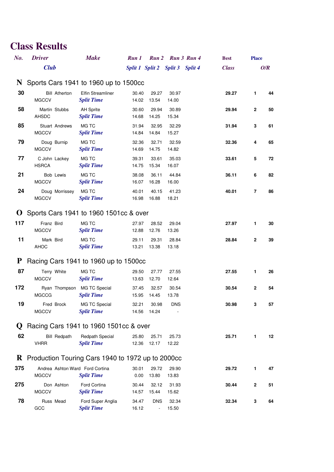| No.         | <b>Driver</b>                                              | <b>Make</b>                                   | Run 1          | Run 2                           | Run 3 Run 4    | <b>Best</b>  | <b>Place</b> |     |
|-------------|------------------------------------------------------------|-----------------------------------------------|----------------|---------------------------------|----------------|--------------|--------------|-----|
|             | <b>Club</b>                                                |                                               |                | Split 1 Split 2 Split 3 Split 4 |                | <b>Class</b> |              | O/R |
|             | N Sports Cars 1941 to 1960 up to 1500cc                    |                                               |                |                                 |                |              |              |     |
| 30          | <b>Bill Atherton</b><br><b>MGCCV</b>                       | <b>Elfin Streamliner</b><br><b>Split Time</b> | 30.40<br>14.02 | 29.27<br>13.54                  | 30.97<br>14.00 | 29.27        | $\mathbf{1}$ | 44  |
| 58          | Martin Stubbs<br><b>AHSDC</b>                              | <b>AH Sprite</b><br><b>Split Time</b>         | 30.60<br>14.68 | 29.94<br>14.25                  | 30.89<br>15.34 | 29.94        | $\mathbf{2}$ | 50  |
| 85          | Stuart Andrews<br><b>MGCCV</b>                             | MG TC<br><b>Split Time</b>                    | 31.94<br>14.84 | 32.95<br>14.84                  | 32.29<br>15.27 | 31.94        | 3            | 61  |
| 79          | Doug Burnip<br><b>MGCCV</b>                                | MG TC<br><b>Split Time</b>                    | 32.36<br>14.69 | 32.71<br>14.75                  | 32.59<br>14.82 | 32.36        | 4            | 65  |
| 77          | C John Lackey<br><b>HSRCA</b>                              | MG TC<br><b>Split Time</b>                    | 39.31<br>14.75 | 33.61<br>15.34                  | 35.03<br>16.07 | 33.61        | 5            | 72  |
| 21          | <b>Bob Lewis</b><br><b>MGCCV</b>                           | MG TC<br><b>Split Time</b>                    | 38.08<br>16.07 | 36.11<br>16.28                  | 44.84<br>16.00 | 36.11        | 6            | 82  |
| 24          | Doug Morrissey<br><b>MGCCV</b>                             | MG TC<br><b>Split Time</b>                    | 40.01<br>16.98 | 40.15<br>16.88                  | 41.23<br>18.21 | 40.01        | 7            | 86  |
| $\bf{O}$    | Sports Cars 1941 to 1960 1501cc & over                     |                                               |                |                                 |                |              |              |     |
| 117         | Franz Bird<br><b>MGCCV</b>                                 | MG TC<br><b>Split Time</b>                    | 27.97<br>12.88 | 28.52<br>12.76                  | 29.04<br>13.26 | 27.97        | 1            | 30  |
| 11          | Mark Bird<br><b>AHOC</b>                                   | MG TC<br><b>Split Time</b>                    | 29.11<br>13.21 | 29.31<br>13.38                  | 28.84<br>13.18 | 28.84        | 2            | 39  |
| P           | Racing Cars 1941 to 1960 up to 1500cc                      |                                               |                |                                 |                |              |              |     |
| 87          | Terry White<br><b>MGCCV</b>                                | MG TC<br><b>Split Time</b>                    | 29.50<br>13.63 | 27.77<br>12.70                  | 27.55<br>12.64 | 27.55        | 1            | 26  |
| 172         | Ryan Thompson MG TC Special<br><b>MGCCG</b>                | <b>Split Time</b>                             | 37.45<br>15.95 | 32.57<br>14.45                  | 30.54<br>13.78 | 30.54        | 2            | 54  |
| 19          | Fred Brock<br><b>MGCCV</b>                                 | MG TC Special<br><b>Split Time</b>            | 32.21<br>14.56 | 30.98<br>14.24                  | <b>DNS</b>     | 30.98        | 3            | 57  |
| $\mathbf U$ | Racing Cars 1941 to 1960 1501cc & over                     |                                               |                |                                 |                |              |              |     |
| 62          | <b>Bill Redpath</b><br><b>VHRR</b>                         | Redpath Special<br><b>Split Time</b>          | 25.80<br>12.36 | 25.71<br>12.17                  | 25.73<br>12.22 | 25.71        | 1            | 12  |
|             | <b>R</b> Production Touring Cars 1940 to 1972 up to 2000cc |                                               |                |                                 |                |              |              |     |
| 375         | Andrea Ashton Ward Ford Cortina<br><b>MGCCV</b>            | <b>Split Time</b>                             | 30.01<br>0.00  | 29.72<br>13.80                  | 29.90<br>13.83 | 29.72        | 1            | 47  |
| 275         | Don Ashton<br><b>MGCCV</b>                                 | Ford Cortina<br><b>Split Time</b>             | 30.44<br>14.57 | 32.12<br>15.44                  | 31.93<br>15.62 | 30.44        | 2            | 51  |
| 78          | Russ Mead<br>GCC                                           | Ford Super Anglia<br><b>Split Time</b>        | 34.47<br>16.12 | <b>DNS</b>                      | 32.34<br>15.50 | 32.34        | 3            | 64  |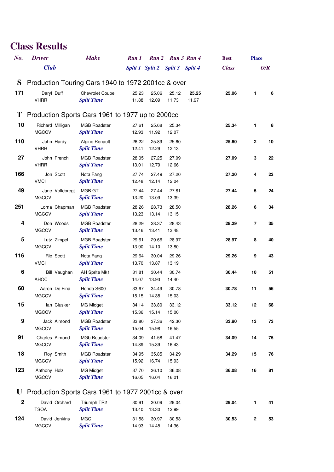| No.         | <b>Driver</b>                  | <b>Make</b>                                         | Run 1          |                                 | Run 2 Run 3 Run 4 |       | <b>Best</b>  | <b>Place</b> |     |
|-------------|--------------------------------|-----------------------------------------------------|----------------|---------------------------------|-------------------|-------|--------------|--------------|-----|
|             | <b>Club</b>                    |                                                     |                | Split 1 Split 2 Split 3 Split 4 |                   |       | <b>Class</b> |              | O/R |
| S           |                                | Production Touring Cars 1940 to 1972 2001 cc & over |                |                                 |                   |       |              |              |     |
| 171         | Daryl Duff                     | <b>Chevrolet Coupe</b>                              | 25.23          | 25.06                           | 25.12             | 25.25 | 25.06        | 1            | 6   |
|             | <b>VHRR</b>                    | <b>Split Time</b>                                   | 11.88          | 12.09                           | 11.73             | 11.97 |              |              |     |
|             |                                | T Production Sports Cars 1961 to 1977 up to 2000cc  |                |                                 |                   |       |              |              |     |
| 10          | Richard Milligan               | <b>MGB Roadster</b>                                 | 27.61          | 25.68                           | 25.34             |       | 25.34        | 1            | 8   |
|             | <b>MGCCV</b>                   | <b>Split Time</b>                                   | 12.93          | 11.92                           | 12.07             |       |              |              |     |
| 110         | John Hardy                     | Alpine Renault                                      | 26.22          | 25.89                           | 25.60             |       | 25.60        | $\mathbf{2}$ | 10  |
|             | <b>VHRR</b>                    | <b>Split Time</b>                                   | 12.41          | 12.29                           | 12.13             |       |              |              |     |
| 27          | John French<br><b>VHRR</b>     | <b>MGB Roadster</b><br><b>Split Time</b>            | 28.05<br>13.01 | 27.25<br>12.79                  | 27.09<br>12.66    |       | 27.09        | 3            | 22  |
| 166         | Jon Scott                      | Nota Fang                                           | 27.74          | 27.49                           | 27.20             |       | 27.20        | 4            | 23  |
|             | <b>VMCI</b>                    | <b>Split Time</b>                                   | 12.48          | 12.14                           | 12.04             |       |              |              |     |
| 49          | Jane Vollebregt                | MGB GT                                              | 27.44          | 27.44                           | 27.81             |       | 27.44        | 5            | 24  |
|             | <b>MGCCV</b>                   | <b>Split Time</b>                                   | 13.20          | 13.09                           | 13.39             |       |              |              |     |
| 251         | Lorna Chapman                  | <b>MGB Roadster</b>                                 | 28.26          | 28.73                           | 28.50             |       | 28.26        | 6            | 34  |
| 4           | <b>MGCCV</b>                   | <b>Split Time</b><br><b>MGB</b> Roadster            | 13.23<br>28.29 | 13.14                           | 13.15<br>28.43    |       |              |              |     |
|             | Don Woods<br><b>MGCCV</b>      | <b>Split Time</b>                                   | 13.46          | 28.37<br>13.41                  | 13.48             |       | 28.29        | 7            | 35  |
| 5           | Lutz Zimpel                    | <b>MGB Roadster</b>                                 | 29.61          | 29.66                           | 28.97             |       | 28.97        | 8            | 40  |
|             | <b>MGCCV</b>                   | <b>Split Time</b>                                   | 13.90          | 14.10                           | 13.80             |       |              |              |     |
| 116         | Ric Scott                      | Nota Fang                                           | 29.64          | 30.04                           | 29.26             |       | 29.26        | 9            | 43  |
|             | <b>VMCI</b>                    | <b>Split Time</b>                                   | 13.70          | 13.87                           | 13.19             |       |              |              |     |
| 6           | Bill Vaughan<br>AHOC           | AH Sprite Mk1<br><b>Split Time</b>                  | 31.81<br>14.07 | 30.44<br>13.93                  | 30.74<br>14.40    |       | 30.44        | 10           | 51  |
| 60          | Aaron De Fina                  | Honda S600                                          | 33.67          | 34.49                           | 30.78             |       | 30.78        | 11           | 56  |
|             | <b>MGCCV</b>                   | <b>Split Time</b>                                   | 15.15          | 14.38                           | 15.03             |       |              |              |     |
| 15          | lan Clusker                    | <b>MG Midget</b>                                    | 34.14          | 33.80                           | 33.12             |       | 33.12        | 12           | 68  |
|             | <b>MGCCV</b>                   | <b>Split Time</b>                                   | 15.36          | 15.14                           | 15.00             |       |              |              |     |
| 9           | Jack Almond                    | <b>MGB Roadster</b>                                 | 33.80          | 37.36                           | 42.30             |       | 33.80        | 13           | 73  |
|             | <b>MGCCV</b>                   | <b>Split Time</b>                                   | 15.04          | 15.98                           | 16.55             |       |              |              |     |
| 91          | Charles Almond<br><b>MGCCV</b> | <b>MGb Roadster</b><br><b>Split Time</b>            | 34.09<br>14.89 | 41.58<br>15.39                  | 41.47<br>16.43    |       | 34.09        | 14           | 75  |
| 18          | Roy Smith                      | <b>MGB Roadster</b>                                 | 34.95          | 35.85                           | 34.29             |       | 34.29        | 15           | 76  |
|             | <b>MGCCV</b>                   | <b>Split Time</b>                                   | 15.92          | 16.74                           | 15.93             |       |              |              |     |
| 123         | Anthony Holz                   | <b>MG Midget</b>                                    | 37.70          | 36.10                           | 36.08             |       | 36.08        | 16           | 81  |
|             | <b>MGCCV</b>                   | <b>Split Time</b>                                   | 16.05          | 16.04                           | 16.01             |       |              |              |     |
| U           |                                | Production Sports Cars 1961 to 1977 2001cc & over   |                |                                 |                   |       |              |              |     |
| $\mathbf 2$ | David Orchard                  | Triumph TR2                                         | 30.91          | 30.09                           | 29.04             |       | 29.04        | 1            | 41  |
|             | <b>TSOA</b>                    | <b>Split Time</b>                                   | 13.40          | 13.30                           | 12.99             |       |              |              |     |
| 124         | David Jenkins                  | <b>MGC</b>                                          | 31.58          | 30.97                           | 30.53             |       | 30.53        | 2            | 53  |
|             | <b>MGCCV</b>                   | <b>Split Time</b>                                   | 14.93          | 14.45                           | 14.36             |       |              |              |     |